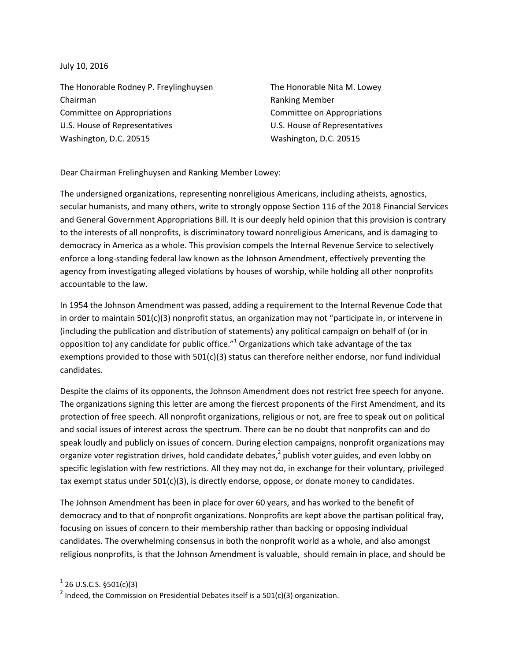July 10, 2016

The Honorable Rodney P. Freylinghuysen The Honorable Nita M. Lowey Chairman **Ranking Member** Ranking Member Committee on Appropriations Committee on Appropriations U.S. House of Representatives U.S. House of Representatives Washington, D.C. 20515 Washington, D.C. 20515

Dear Chairman Frelinghuysen and Ranking Member Lowey:

The undersigned organizations, representing nonreligious Americans, including atheists, agnostics, secular humanists, and many others, write to strongly oppose Section 116 of the 2018 Financial Services and General Government Appropriations Bill. It is our deeply held opinion that this provision is contrary to the interests of all nonprofits, is discriminatory toward nonreligious Americans, and is damaging to democracy in America as a whole. This provision compels the Internal Revenue Service to selectively enforce a long-standing federal law known as the Johnson Amendment, effectively preventing the agency from investigating alleged violations by houses of worship, while holding all other nonprofits accountable to the law.

In 1954 the Johnson Amendment was passed, adding a requirement to the Internal Revenue Code that in order to maintain 501(c)(3) nonprofit status, an organization may not "participate in, or intervene in (including the publication and distribution of statements) any political campaign on behalf of (or in opposition to) any candidate for public office." $1$  Organizations which take advantage of the tax exemptions provided to those with 501(c)(3) status can therefore neither endorse, nor fund individual candidates.

Despite the claims of its opponents, the Johnson Amendment does not restrict free speech for anyone. The organizations signing this letter are among the fiercest proponents of the First Amendment, and its protection of free speech. All nonprofit organizations, religious or not, are free to speak out on political and social issues of interest across the spectrum. There can be no doubt that nonprofits can and do speak loudly and publicly on issues of concern. During election campaigns, nonprofit organizations may organize voter registration drives, hold candidate debates, $^2$  publish voter guides, and even lobby on specific legislation with few restrictions. All they may not do, in exchange for their voluntary, privileged tax exempt status under  $501(c)(3)$ , is directly endorse, oppose, or donate money to candidates.

The Johnson Amendment has been in place for over 60 years, and has worked to the benefit of democracy and to that of nonprofit organizations. Nonprofits are kept above the partisan political fray, focusing on issues of concern to their membership rather than backing or opposing individual candidates. The overwhelming consensus in both the nonprofit world as a whole, and also amongst religious nonprofits, is that the Johnson Amendment is valuable, should remain in place, and should be

 $\overline{\phantom{a}}$ 

 $^{1}$  26 U.S.C.S. §501(c)(3)

<sup>&</sup>lt;sup>2</sup> Indeed, the Commission on Presidential Debates itself is a 501(c)(3) organization.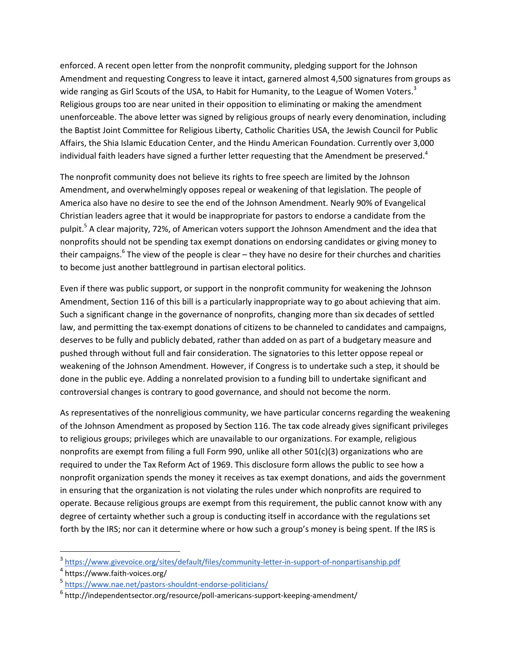enforced. A recent open letter from the nonprofit community, pledging support for the Johnson Amendment and requesting Congress to leave it intact, garnered almost 4,500 signatures from groups as wide ranging as Girl Scouts of the USA, to Habit for Humanity, to the League of Women Voters.<sup>3</sup> Religious groups too are near united in their opposition to eliminating or making the amendment unenforceable. The above letter was signed by religious groups of nearly every denomination, including the Baptist Joint Committee for Religious Liberty, Catholic Charities USA, the Jewish Council for Public Affairs, the Shia Islamic Education Center, and the Hindu American Foundation. Currently over 3,000 individual faith leaders have signed a further letter requesting that the Amendment be preserved.<sup>4</sup>

The nonprofit community does not believe its rights to free speech are limited by the Johnson Amendment, and overwhelmingly opposes repeal or weakening of that legislation. The people of America also have no desire to see the end of the Johnson Amendment. Nearly 90% of Evangelical Christian leaders agree that it would be inappropriate for pastors to endorse a candidate from the pulpit.<sup>5</sup> A clear majority, 72%, of American voters support the Johnson Amendment and the idea that nonprofits should not be spending tax exempt donations on endorsing candidates or giving money to their campaigns.<sup>6</sup> The view of the people is clear – they have no desire for their churches and charities to become just another battleground in partisan electoral politics.

Even if there was public support, or support in the nonprofit community for weakening the Johnson Amendment, Section 116 of this bill is a particularly inappropriate way to go about achieving that aim. Such a significant change in the governance of nonprofits, changing more than six decades of settled law, and permitting the tax-exempt donations of citizens to be channeled to candidates and campaigns, deserves to be fully and publicly debated, rather than added on as part of a budgetary measure and pushed through without full and fair consideration. The signatories to this letter oppose repeal or weakening of the Johnson Amendment. However, if Congress is to undertake such a step, it should be done in the public eye. Adding a nonrelated provision to a funding bill to undertake significant and controversial changes is contrary to good governance, and should not become the norm.

As representatives of the nonreligious community, we have particular concerns regarding the weakening of the Johnson Amendment as proposed by Section 116. The tax code already gives significant privileges to religious groups; privileges which are unavailable to our organizations. For example, religious nonprofits are exempt from filing a full Form 990, unlike all other 501(c)(3) organizations who are required to under the Tax Reform Act of 1969. This disclosure form allows the public to see how a nonprofit organization spends the money it receives as tax exempt donations, and aids the government in ensuring that the organization is not violating the rules under which nonprofits are required to operate. Because religious groups are exempt from this requirement, the public cannot know with any degree of certainty whether such a group is conducting itself in accordance with the regulations set forth by the IRS; nor can it determine where or how such a group's money is being spent. If the IRS is

l

<sup>&</sup>lt;sup>3</sup> <https://www.givevoice.org/sites/default/files/community-letter-in-support-of-nonpartisanship.pdf>

<sup>4</sup> https://www.faith-voices.org/

<sup>5</sup> <https://www.nae.net/pastors-shouldnt-endorse-politicians/>

<sup>&</sup>lt;sup>6</sup> http://independentsector.org/resource/poll-americans-support-keeping-amendment/